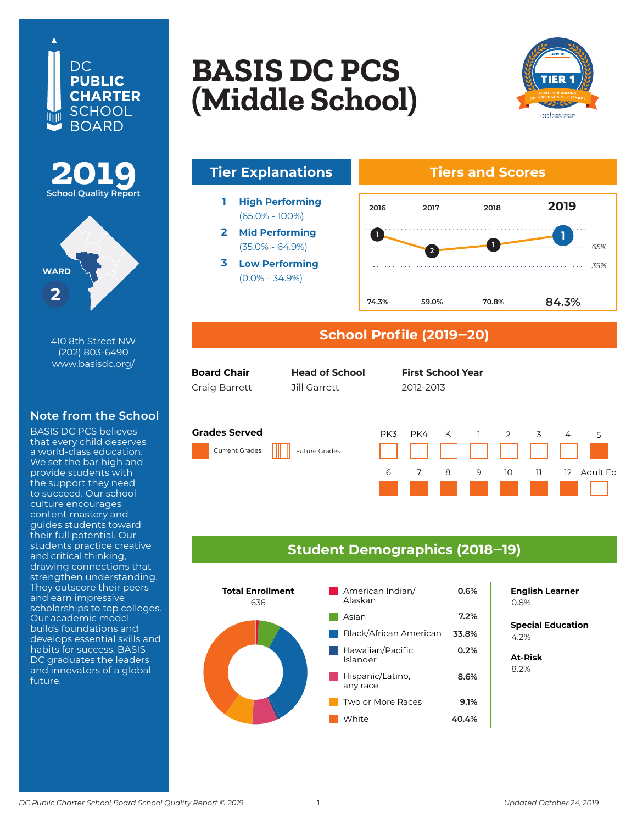





410 8th Street NW (202) 803-6490 www.basisdc.org/

## **Note from the School**

BASIS DC PCS believes that every child deserves a world-class education. We set the bar high and provide students with the support they need to succeed. Our school culture encourages content mastery and guides students toward their full potential. Our students practice creative and critical thinking, drawing connections that strengthen understanding. They outscore their peers and earn impressive scholarships to top colleges. Our academic model builds foundations and develops essential skills and habits for success. BASIS DC graduates the leaders and innovators of a global future.

# **PACTE DC DCC LASIS DU PUS<br>BASIS DU PUS Columbia Heights BASIS DC PCS (Middle School)**



*65%*



## **School Profile (2019‒20)**

| <b>Board Chair</b> | <b>Head of School</b>             | <b>First School Year</b> |
|--------------------|-----------------------------------|--------------------------|
| $C$ raia Darratt   | $7\cdot 11$ $C_2$ $r \cdot 2$ $+$ | דוחר רוחר                |

**Head of School**

First Last First Last First Last 2007–08 Craig Barrett Jill Garrett 2012-2013

#### **Grades Served**

Current Grades Future Grades





### **Student Demographics (2018‒19)**



**English Learner**

**Special Education** 6.2% 4.2%

**At-Risk** 8.2%